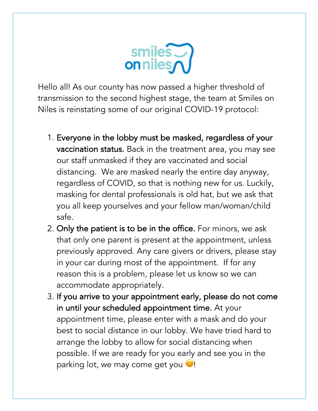

Hello all! As our county has now passed a higher threshold of transmission to the second highest stage, the team at Smiles on Niles is reinstating some of our original COVID-19 protocol:

- 1. Everyone in the lobby must be masked, regardless of your vaccination status. Back in the treatment area, you may see our staff unmasked if they are vaccinated and social distancing. We are masked nearly the entire day anyway, regardless of COVID, so that is nothing new for us. Luckily, masking for dental professionals is old hat, but we ask that you all keep yourselves and your fellow man/woman/child safe.
- 2. Only the patient is to be in the office. For minors, we ask that only one parent is present at the appointment, unless previously approved. Any care givers or drivers, please stay in your car during most of the appointment. If for any reason this is a problem, please let us know so we can accommodate appropriately.
- 3. If you arrive to your appointment early, please do not come in until your scheduled appointment time. At your appointment time, please enter with a mask and do your best to social distance in our lobby. We have tried hard to arrange the lobby to allow for social distancing when possible. If we are ready for you early and see you in the parking lot, we may come get you  $\heartsuit!$